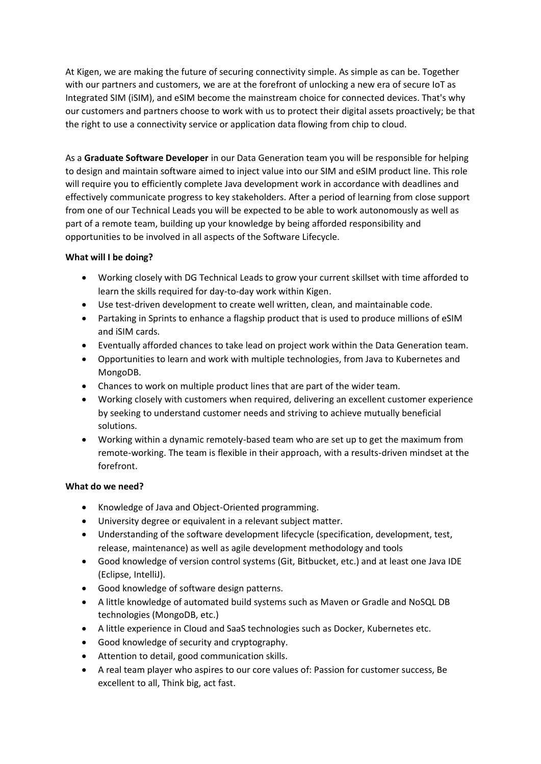At Kigen, we are making the future of securing connectivity simple. As simple as can be. Together with our partners and customers, we are at the forefront of unlocking a new era of secure IoT as Integrated SIM (iSIM), and eSIM become the mainstream choice for connected devices. That's why our customers and partners choose to work with us to protect their digital assets proactively; be that the right to use a connectivity service or application data flowing from chip to cloud.

As a **Graduate Software Developer** in our Data Generation team you will be responsible for helping to design and maintain software aimed to inject value into our SIM and eSIM product line. This role will require you to efficiently complete Java development work in accordance with deadlines and effectively communicate progress to key stakeholders. After a period of learning from close support from one of our Technical Leads you will be expected to be able to work autonomously as well as part of a remote team, building up your knowledge by being afforded responsibility and opportunities to be involved in all aspects of the Software Lifecycle.

## **What will I be doing?**

- Working closely with DG Technical Leads to grow your current skillset with time afforded to learn the skills required for day-to-day work within Kigen.
- Use test-driven development to create well written, clean, and maintainable code.
- Partaking in Sprints to enhance a flagship product that is used to produce millions of eSIM and iSIM cards.
- Eventually afforded chances to take lead on project work within the Data Generation team.
- Opportunities to learn and work with multiple technologies, from Java to Kubernetes and MongoDB.
- Chances to work on multiple product lines that are part of the wider team.
- Working closely with customers when required, delivering an excellent customer experience by seeking to understand customer needs and striving to achieve mutually beneficial solutions.
- Working within a dynamic remotely-based team who are set up to get the maximum from remote-working. The team is flexible in their approach, with a results-driven mindset at the forefront.

## **What do we need?**

- Knowledge of Java and Object-Oriented programming.
- University degree or equivalent in a relevant subject matter.
- Understanding of the software development lifecycle (specification, development, test, release, maintenance) as well as agile development methodology and tools
- Good knowledge of version control systems (Git, Bitbucket, etc.) and at least one Java IDE (Eclipse, IntelliJ).
- Good knowledge of software design patterns.
- A little knowledge of automated build systems such as Maven or Gradle and NoSQL DB technologies (MongoDB, etc.)
- A little experience in Cloud and SaaS technologies such as Docker, Kubernetes etc.
- Good knowledge of security and cryptography.
- Attention to detail, good communication skills.
- A real team player who aspires to our core values of: Passion for customer success, Be excellent to all, Think big, act fast.